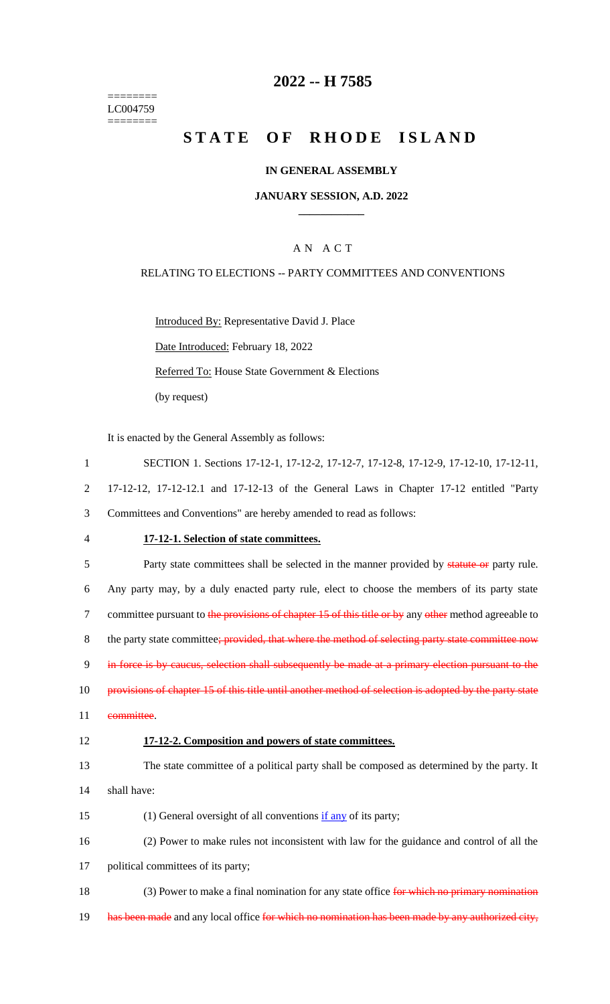======== LC004759 ========

## **2022 -- H 7585**

# **STATE OF RHODE ISLAND**

### **IN GENERAL ASSEMBLY**

### **JANUARY SESSION, A.D. 2022 \_\_\_\_\_\_\_\_\_\_\_\_**

## A N A C T

### RELATING TO ELECTIONS -- PARTY COMMITTEES AND CONVENTIONS

Introduced By: Representative David J. Place Date Introduced: February 18, 2022 Referred To: House State Government & Elections (by request)

It is enacted by the General Assembly as follows:

1 SECTION 1. Sections 17-12-1, 17-12-2, 17-12-7, 17-12-8, 17-12-9, 17-12-10, 17-12-11, 2 17-12-12, 17-12-12.1 and 17-12-13 of the General Laws in Chapter 17-12 entitled "Party 3 Committees and Conventions" are hereby amended to read as follows: 4 **17-12-1. Selection of state committees.** 5 Party state committees shall be selected in the manner provided by statute or party rule. 6 Any party may, by a duly enacted party rule, elect to choose the members of its party state 7 committee pursuant to the provisions of chapter 15 of this title or by any other method agreeable to 8 the party state committee; provided, that where the method of selecting party state committee now 9 in force is by caucus, selection shall subsequently be made at a primary election pursuant to the 10 provisions of chapter 15 of this title until another method of selection is adopted by the party state 11 committee. 12 **17-12-2. Composition and powers of state committees.** 13 The state committee of a political party shall be composed as determined by the party. It 14 shall have: 15 (1) General oversight of all conventions if any of its party; 16 (2) Power to make rules not inconsistent with law for the guidance and control of all the 17 political committees of its party; 18 (3) Power to make a final nomination for any state office for which no primary nomination 19 has been made and any local office for which no nomination has been made by any authorized city,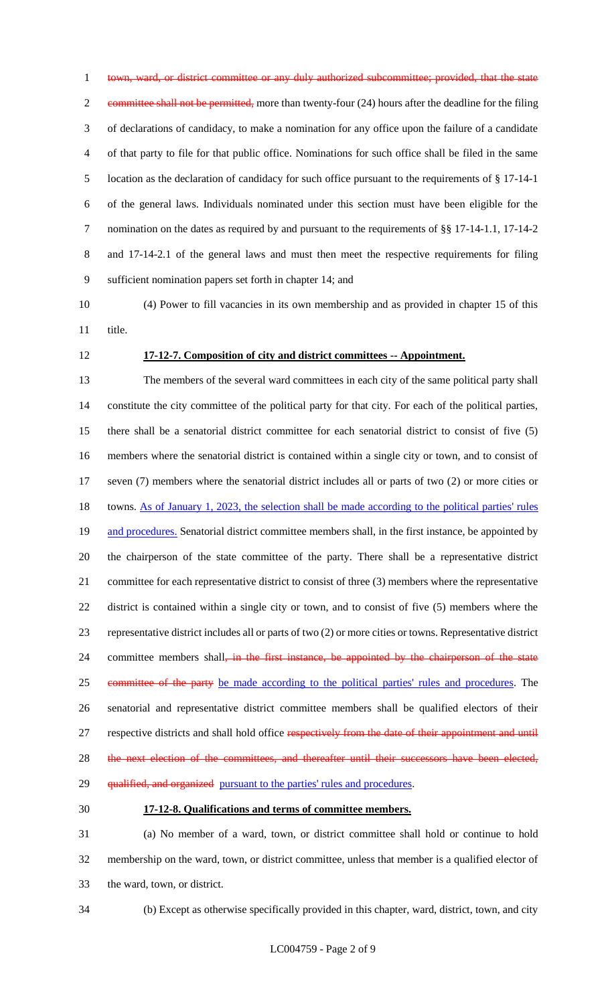town, ward, or district committee or any duly authorized subcommittee; provided, that the state 2 committee shall not be permitted, more than twenty-four (24) hours after the deadline for the filing of declarations of candidacy, to make a nomination for any office upon the failure of a candidate of that party to file for that public office. Nominations for such office shall be filed in the same location as the declaration of candidacy for such office pursuant to the requirements of § 17-14-1 of the general laws. Individuals nominated under this section must have been eligible for the nomination on the dates as required by and pursuant to the requirements of §§ 17-14-1.1, 17-14-2 and 17-14-2.1 of the general laws and must then meet the respective requirements for filing sufficient nomination papers set forth in chapter 14; and

 (4) Power to fill vacancies in its own membership and as provided in chapter 15 of this title.

## **17-12-7. Composition of city and district committees -- Appointment.**

 The members of the several ward committees in each city of the same political party shall constitute the city committee of the political party for that city. For each of the political parties, there shall be a senatorial district committee for each senatorial district to consist of five (5) members where the senatorial district is contained within a single city or town, and to consist of seven (7) members where the senatorial district includes all or parts of two (2) or more cities or 18 towns. As of January 1, 2023, the selection shall be made according to the political parties' rules 19 and procedures. Senatorial district committee members shall, in the first instance, be appointed by the chairperson of the state committee of the party. There shall be a representative district committee for each representative district to consist of three (3) members where the representative district is contained within a single city or town, and to consist of five (5) members where the representative district includes all or parts of two (2) or more cities or towns. Representative district 24 committee members shall<del>, in the first instance, be appointed by the chairperson of the state</del> 25 committee of the party be made according to the political parties' rules and procedures. The senatorial and representative district committee members shall be qualified electors of their 27 respective districts and shall hold office respectively from the date of their appointment and until 28 the next election of the committees, and thereafter until their successors have been elected, 29 qualified, and organized pursuant to the parties' rules and procedures.

#### **17-12-8. Qualifications and terms of committee members.**

 (a) No member of a ward, town, or district committee shall hold or continue to hold membership on the ward, town, or district committee, unless that member is a qualified elector of the ward, town, or district.

(b) Except as otherwise specifically provided in this chapter, ward, district, town, and city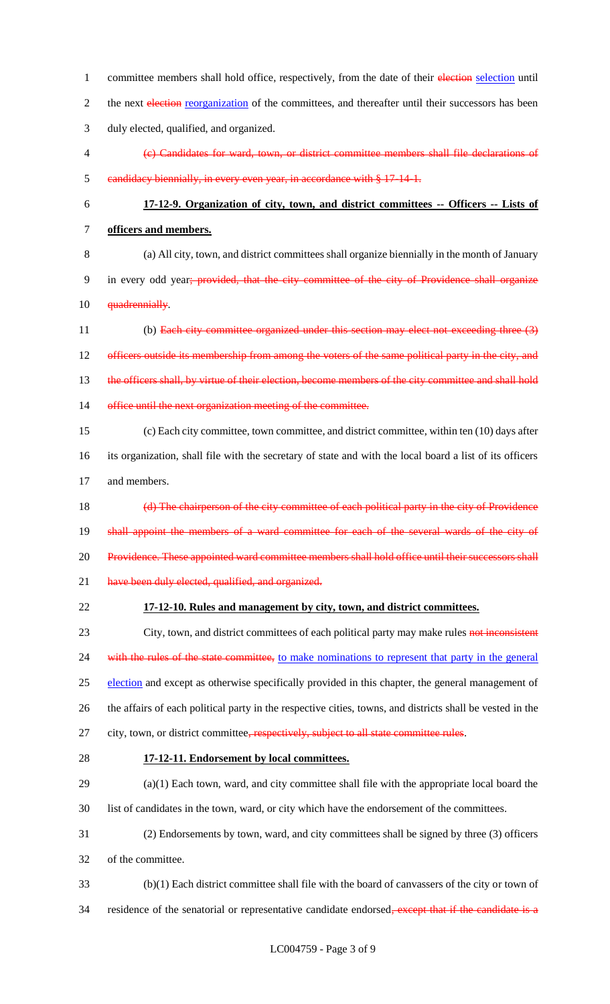1 committee members shall hold office, respectively, from the date of their election selection until 2 the next election reorganization of the committees, and thereafter until their successors has been 3 duly elected, qualified, and organized. 4 (c) Candidates for ward, town, or district committee members shall file declarations of 5 candidacy biennially, in every even year, in accordance with § 17-14-1. 6 **17-12-9. Organization of city, town, and district committees -- Officers -- Lists of**  7 **officers and members.** 8 (a) All city, town, and district committees shall organize biennially in the month of January 9 in every odd year; provided, that the city committee of the city of Providence shall organize 10 **quadrennially**. 11 (b) Each city committee organized under this section may elect not exceeding three (3) 12 officers outside its membership from among the voters of the same political party in the city, and 13 the officers shall, by virtue of their election, become members of the city committee and shall hold 14 office until the next organization meeting of the committee. 15 (c) Each city committee, town committee, and district committee, within ten (10) days after 16 its organization, shall file with the secretary of state and with the local board a list of its officers 17 and members. 18 (d) The chairperson of the city committee of each political party in the city of Providence 19 shall appoint the members of a ward committee for each of the several wards of the city of 20 Providence. These appointed ward committee members shall hold office until their successors shall 21 have been duly elected, qualified, and organized. 22 **17-12-10. Rules and management by city, town, and district committees.** 23 City, town, and district committees of each political party may make rules not inconsistent 24 with the rules of the state committee, to make nominations to represent that party in the general 25 election and except as otherwise specifically provided in this chapter, the general management of 26 the affairs of each political party in the respective cities, towns, and districts shall be vested in the 27 city, town, or district committee, respectively, subject to all state committee rules. 28 **17-12-11. Endorsement by local committees.** 29 (a)(1) Each town, ward, and city committee shall file with the appropriate local board the 30 list of candidates in the town, ward, or city which have the endorsement of the committees. 31 (2) Endorsements by town, ward, and city committees shall be signed by three (3) officers 32 of the committee. 33 (b)(1) Each district committee shall file with the board of canvassers of the city or town of 34 residence of the senatorial or representative candidate endorsed, except that if the candidate is a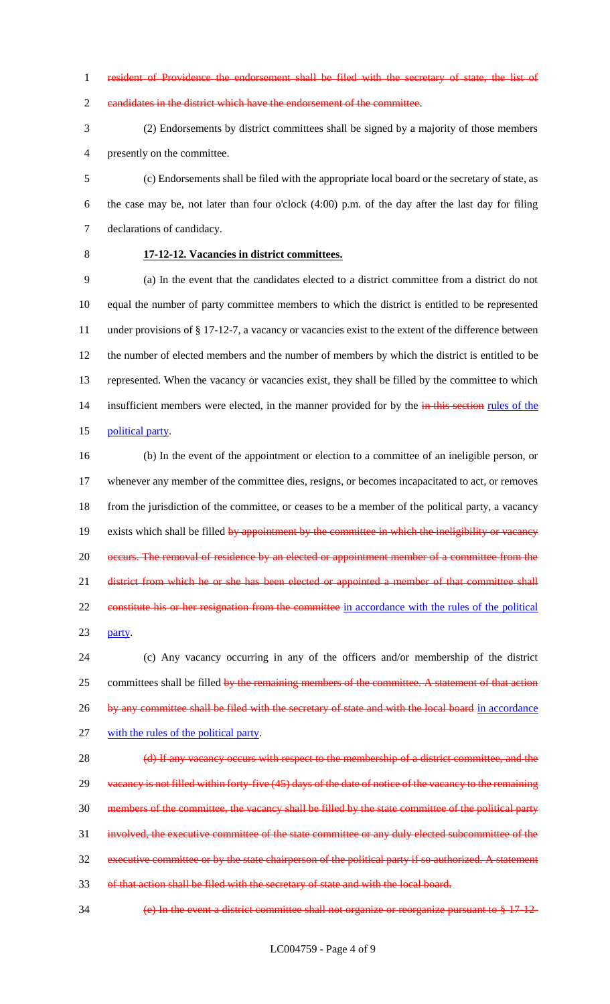resident of Providence the endorsement shall be filed with the secretary of state, the list of

candidates in the district which have the endorsement of the committee.

 (2) Endorsements by district committees shall be signed by a majority of those members presently on the committee.

 (c) Endorsements shall be filed with the appropriate local board or the secretary of state, as the case may be, not later than four o'clock (4:00) p.m. of the day after the last day for filing declarations of candidacy.

## **17-12-12. Vacancies in district committees.**

 (a) In the event that the candidates elected to a district committee from a district do not equal the number of party committee members to which the district is entitled to be represented under provisions of § 17-12-7, a vacancy or vacancies exist to the extent of the difference between the number of elected members and the number of members by which the district is entitled to be represented. When the vacancy or vacancies exist, they shall be filled by the committee to which 14 insufficient members were elected, in the manner provided for by the in this section rules of the political party.

 (b) In the event of the appointment or election to a committee of an ineligible person, or whenever any member of the committee dies, resigns, or becomes incapacitated to act, or removes from the jurisdiction of the committee, or ceases to be a member of the political party, a vacancy 19 exists which shall be filled by appointment by the committee in which the ineligibility or vacancy 20 occurs. The removal of residence by an elected or appointment member of a committee from the 21 district from which he or she has been elected or appointed a member of that committee shall 22 constitute his or her resignation from the committee in accordance with the rules of the political party.

 (c) Any vacancy occurring in any of the officers and/or membership of the district 25 committees shall be filled by the remaining members of the committee. A statement of that action 26 by any committee shall be filed with the secretary of state and with the local board in accordance with the rules of the political party.

28 (d) If any vacancy occurs with respect to the membership of a district committee, and the 29 vacancy is not filled within forty-five (45) days of the date of notice of the vacancy to the remaining members of the committee, the vacancy shall be filled by the state committee of the political party involved, the executive committee of the state committee or any duly elected subcommittee of the executive committee or by the state chairperson of the political party if so authorized. A statement of that action shall be filed with the secretary of state and with the local board.

(e) In the event a district committee shall not organize or reorganize pursuant to § 17-12-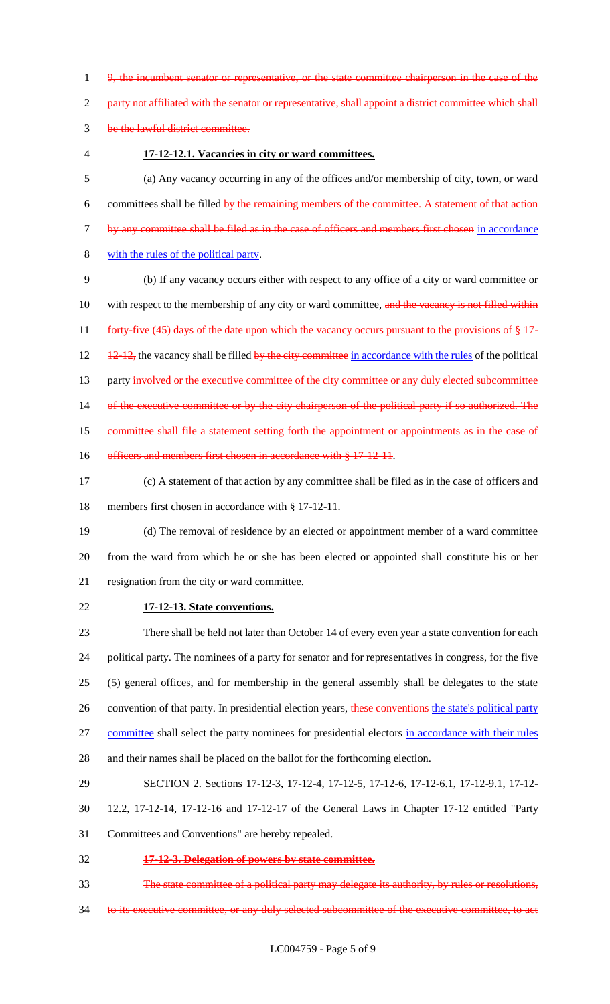1 9, the incumbent senator or representative, or the state committee chairperson in the case of the

2 party not affiliated with the senator or representative, shall appoint a district committee which shall

- 3 be the lawful district committee.
- 

### 4 **17-12-12.1. Vacancies in city or ward committees.**

5 (a) Any vacancy occurring in any of the offices and/or membership of city, town, or ward 6 committees shall be filled by the remaining members of the committee. A statement of that action 7 by any committee shall be filed as in the case of officers and members first chosen in accordance 8 with the rules of the political party.

9 (b) If any vacancy occurs either with respect to any office of a city or ward committee or 10 with respect to the membership of any city or ward committee, and the vacancy is not filled within 11 forty-five (45) days of the date upon which the vacancy occurs pursuant to the provisions of § 17-12 12-12, the vacancy shall be filled by the city committee in accordance with the rules of the political 13 party involved or the executive committee of the city committee or any duly elected subcommittee 14 of the executive committee or by the city chairperson of the political party if so authorized. The 15 committee shall file a statement setting forth the appointment or appointments as in the case of 16 officers and members first chosen in accordance with § 17-12-11.

17 (c) A statement of that action by any committee shall be filed as in the case of officers and 18 members first chosen in accordance with § 17-12-11.

19 (d) The removal of residence by an elected or appointment member of a ward committee 20 from the ward from which he or she has been elected or appointed shall constitute his or her 21 resignation from the city or ward committee.

22 **17-12-13. State conventions.**

 There shall be held not later than October 14 of every even year a state convention for each political party. The nominees of a party for senator and for representatives in congress, for the five (5) general offices, and for membership in the general assembly shall be delegates to the state 26 convention of that party. In presidential election years, these conventions the state's political party committee shall select the party nominees for presidential electors in accordance with their rules and their names shall be placed on the ballot for the forthcoming election.

- 29 SECTION 2. Sections 17-12-3, 17-12-4, 17-12-5, 17-12-6, 17-12-6.1, 17-12-9.1, 17-12-
- 30 12.2, 17-12-14, 17-12-16 and 17-12-17 of the General Laws in Chapter 17-12 entitled "Party
- 31 Committees and Conventions" are hereby repealed.
- 32 **17-12-3. Delegation of powers by state committee.**
- 33 The state committee of a political party may delegate its authority, by rules or resolutions,
- 34 to its executive committee, or any duly selected subcommittee of the executive committee, to act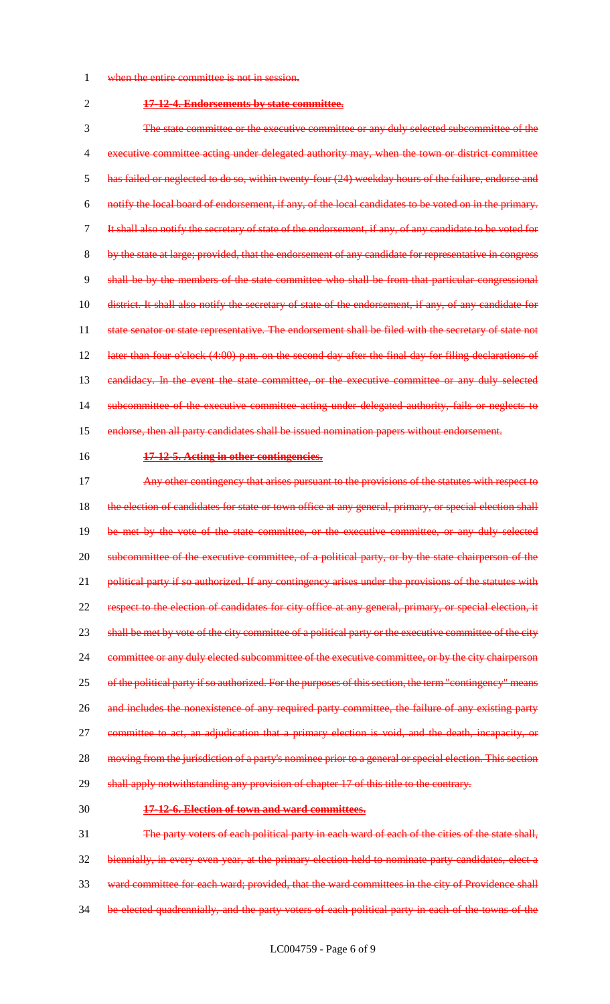- 1 when the entire committee is not in session.
- 

#### 2 **17-12-4. Endorsements by state committee.**

 The state committee or the executive committee or any duly selected subcommittee of the executive committee acting under delegated authority may, when the town or district committee has failed or neglected to do so, within twenty-four (24) weekday hours of the failure, endorse and notify the local board of endorsement, if any, of the local candidates to be voted on in the primary. It shall also notify the secretary of state of the endorsement, if any, of any candidate to be voted for by the state at large; provided, that the endorsement of any candidate for representative in congress shall be by the members of the state committee who shall be from that particular congressional district. It shall also notify the secretary of state of the endorsement, if any, of any candidate for 11 state senator or state representative. The endorsement shall be filed with the secretary of state not later than four o'clock (4:00) p.m. on the second day after the final day for filing declarations of 13 candidacy. In the event the state committee, or the executive committee or any duly selected subcommittee of the executive committee acting under delegated authority, fails or neglects to endorse, then all party candidates shall be issued nomination papers without endorsement.

### 16 **17-12-5. Acting in other contingencies.**

17 Any other contingency that arises pursuant to the provisions of the statutes with respect to 18 the election of candidates for state or town office at any general, primary, or special election shall 19 be met by the vote of the state committee, or the executive committee, or any duly selected 20 subcommittee of the executive committee, of a political party, or by the state chairperson of the 21 political party if so authorized. If any contingency arises under the provisions of the statutes with 22 respect to the election of candidates for city office at any general, primary, or special election, it 23 shall be met by vote of the city committee of a political party or the executive committee of the city 24 committee or any duly elected subcommittee of the executive committee, or by the city chairperson 25 of the political party if so authorized. For the purposes of this section, the term "contingency" means 26 and includes the nonexistence of any required party committee, the failure of any existing party 27 committee to act, an adjudication that a primary election is void, and the death, incapacity, or 28 moving from the jurisdiction of a party's nominee prior to a general or special election. This section 29 shall apply notwithstanding any provision of chapter 17 of this title to the contrary.

#### 30 **17-12-6. Election of town and ward committees.**

 The party voters of each political party in each ward of each of the cities of the state shall, biennially, in every even year, at the primary election held to nominate party candidates, elect a ward committee for each ward; provided, that the ward committees in the city of Providence shall be elected quadrennially, and the party voters of each political party in each of the towns of the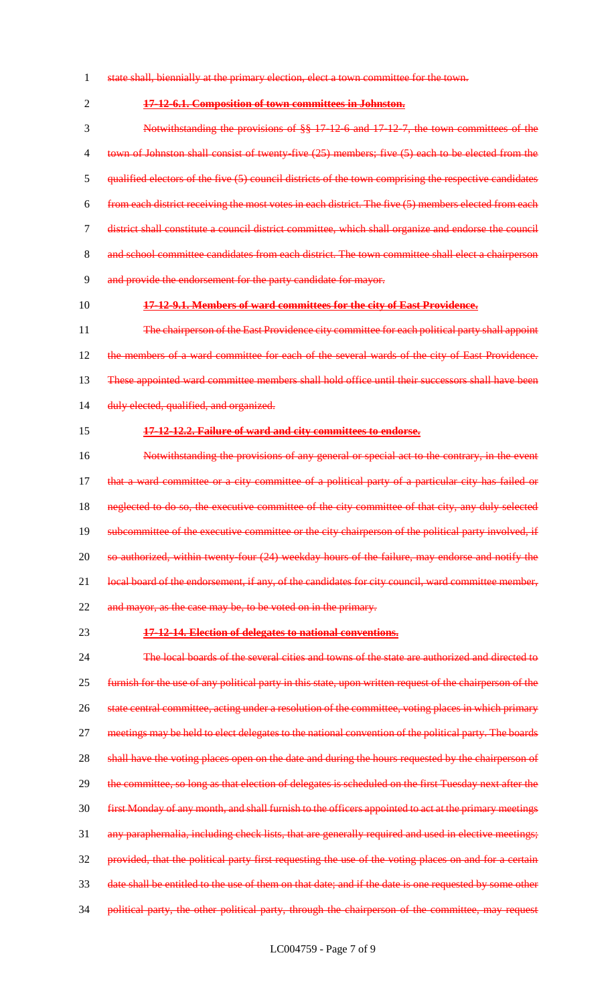- 1 state shall, biennially at the primary election, elect a town committee for the town.
- 2 **17-12-6.1. Composition of town committees in Johnston.**

 Notwithstanding the provisions of §§ 17-12-6 and 17-12-7, the town committees of the 4 town of Johnston shall consist of twenty-five (25) members; five (5) each to be elected from the qualified electors of the five (5) council districts of the town comprising the respective candidates from each district receiving the most votes in each district. The five (5) members elected from each district shall constitute a council district committee, which shall organize and endorse the council and school committee candidates from each district. The town committee shall elect a chairperson and provide the endorsement for the party candidate for mayor.

## 10 **17-12-9.1. Members of ward committees for the city of East Providence.**

11 The chairperson of the East Providence city committee for each political party shall appoint 12 the members of a ward committee for each of the several wards of the city of East Providence. 13 These appointed ward committee members shall hold office until their successors shall have been 14 duly elected, qualified, and organized.

#### 15 **17-12-12.2. Failure of ward and city committees to endorse.**

16 Notwithstanding the provisions of any general or special act to the contrary, in the event 17 that a ward committee or a city committee of a political party of a particular city has failed or 18 neglected to do so, the executive committee of the city committee of that city, any duly selected 19 subcommittee of the executive committee or the city chairperson of the political party involved, if 20 so authorized, within twenty-four (24) weekday hours of the failure, may endorse and notify the 21 local board of the endorsement, if any, of the candidates for city council, ward committee member, 22 and mayor, as the case may be, to be voted on in the primary.

#### 23 **17-12-14. Election of delegates to national conventions.**

24 The local boards of the several cities and towns of the state are authorized and directed to 25 furnish for the use of any political party in this state, upon written request of the chairperson of the 26 state central committee, acting under a resolution of the committee, voting places in which primary 27 meetings may be held to elect delegates to the national convention of the political party. The boards 28 shall have the voting places open on the date and during the hours requested by the chairperson of 29 the committee, so long as that election of delegates is scheduled on the first Tuesday next after the 30 first Monday of any month, and shall furnish to the officers appointed to act at the primary meetings 31 any paraphernalia, including check lists, that are generally required and used in elective meetings; 32 provided, that the political party first requesting the use of the voting places on and for a certain 33 date shall be entitled to the use of them on that date; and if the date is one requested by some other 34 political party, the other political party, through the chairperson of the committee, may request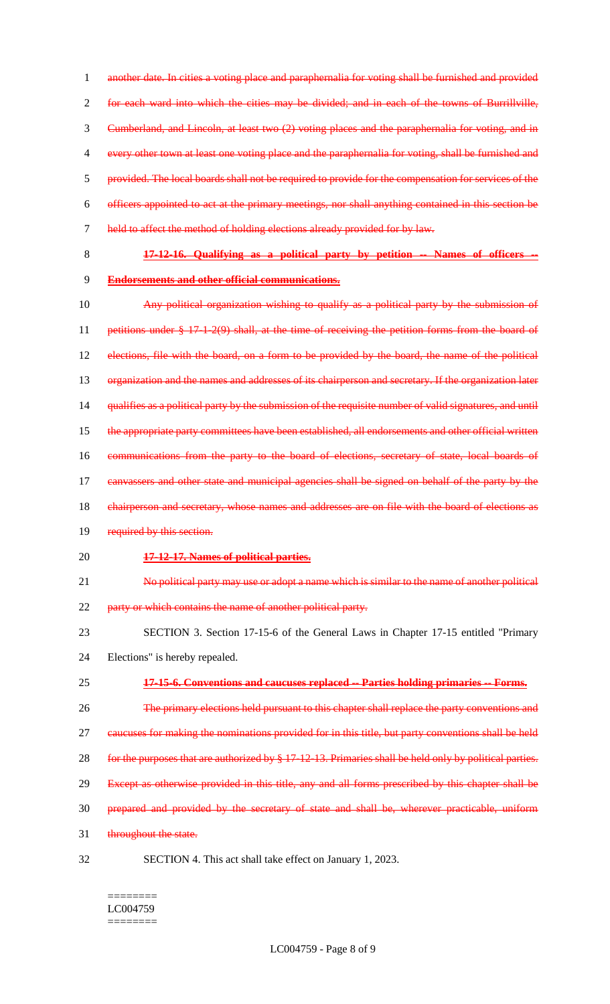1 another date. In cities a voting place and paraphernalia for voting shall be furnished and provided for each ward into which the cities may be divided; and in each of the towns of Burrillville, Cumberland, and Lincoln, at least two (2) voting places and the paraphernalia for voting, and in every other town at least one voting place and the paraphernalia for voting, shall be furnished and provided. The local boards shall not be required to provide for the compensation for services of the officers appointed to act at the primary meetings, nor shall anything contained in this section be 7 held to affect the method of holding elections already provided for by law.

8 **17-12-16. Qualifying as a political party by petition -- Names of officers --** 9 **Endorsements and other official communications.**

- 10 Any political organization wishing to qualify as a political party by the submission of 11 petitions under § 17-1-2(9) shall, at the time of receiving the petition forms from the board of 12 elections, file with the board, on a form to be provided by the board, the name of the political 13 organization and the names and addresses of its chairperson and secretary. If the organization later 14 qualifies as a political party by the submission of the requisite number of valid signatures, and until 15 the appropriate party committees have been established, all endorsements and other official written 16 communications from the party to the board of elections, secretary of state, local boards of 17 canvassers and other state and municipal agencies shall be signed on behalf of the party by the 18 chairperson and secretary, whose names and addresses are on file with the board of elections as 19 required by this section. 20 **17-12-17. Names of political parties.** 21 No political party may use or adopt a name which is similar to the name of another political
- 22 party or which contains the name of another political party.
- 23 SECTION 3. Section 17-15-6 of the General Laws in Chapter 17-15 entitled "Primary
- 24 Elections" is hereby repealed.
- 25 **17-15-6. Conventions and caucuses replaced -- Parties holding primaries -- Forms.**
- 26 The primary elections held pursuant to this chapter shall replace the party conventions and
- 27 caucuses for making the nominations provided for in this title, but party conventions shall be held
- 28 for the purposes that are authorized by § 17-12-13. Primaries shall be held only by political parties.
- 29 Except as otherwise provided in this title, any and all forms prescribed by this chapter shall be
- 30 prepared and provided by the secretary of state and shall be, wherever practicable, uniform
- 31 throughout the state.
- 
- 32 SECTION 4. This act shall take effect on January 1, 2023.

#### ======== LC004759 ========